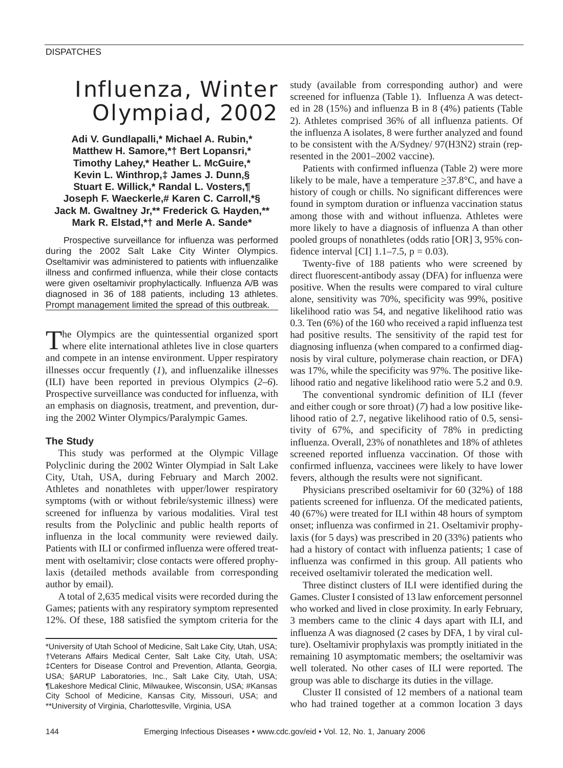# Influenza, Winter Olympiad, 2002

**Adi V. Gundlapalli,\* Michael A. Rubin,\* Matthew H. Samore,\*† Bert Lopansri,\* Timothy Lahey,\* Heather L. McGuire,\* Kevin L. Winthrop,‡ James J. Dunn,§ Stuart E. Willick,\* Randal L. Vosters,¶ Joseph F. Waeckerle,# Karen C. Carroll,\*§ Jack M. Gwaltney Jr,\*\* Frederick G. Hayden,\*\* Mark R. Elstad,\*† and Merle A. Sande\*** 

Prospective surveillance for influenza was performed during the 2002 Salt Lake City Winter Olympics. Oseltamivir was administered to patients with influenzalike illness and confirmed influenza, while their close contacts were given oseltamivir prophylactically. Influenza A/B was diagnosed in 36 of 188 patients, including 13 athletes. Prompt management limited the spread of this outbreak.

The Olympics are the quintessential organized sport where elite international athletes live in close quarters and compete in an intense environment. Upper respiratory illnesses occur frequently (*1*), and influenzalike illnesses (ILI) have been reported in previous Olympics (*2–6*). Prospective surveillance was conducted for influenza, with an emphasis on diagnosis, treatment, and prevention, during the 2002 Winter Olympics/Paralympic Games.

## **The Study**

This study was performed at the Olympic Village Polyclinic during the 2002 Winter Olympiad in Salt Lake City, Utah, USA, during February and March 2002. Athletes and nonathletes with upper/lower respiratory symptoms (with or without febrile/systemic illness) were screened for influenza by various modalities. Viral test results from the Polyclinic and public health reports of influenza in the local community were reviewed daily. Patients with ILI or confirmed influenza were offered treatment with oseltamivir; close contacts were offered prophylaxis (detailed methods available from corresponding author by email).

A total of 2,635 medical visits were recorded during the Games; patients with any respiratory symptom represented 12%. Of these, 188 satisfied the symptom criteria for the study (available from corresponding author) and were screened for influenza (Table 1). Influenza A was detected in 28 (15%) and influenza B in 8 (4%) patients (Table 2). Athletes comprised 36% of all influenza patients. Of the influenza A isolates, 8 were further analyzed and found to be consistent with the A/Sydney/ 97(H3N2) strain (represented in the 2001–2002 vaccine).

Patients with confirmed influenza (Table 2) were more likely to be male, have a temperature  $\geq 37.8^{\circ}$ C, and have a history of cough or chills. No significant differences were found in symptom duration or influenza vaccination status among those with and without influenza. Athletes were more likely to have a diagnosis of influenza A than other pooled groups of nonathletes (odds ratio [OR] 3, 95% confidence interval [CI]  $1.1-7.5$ ,  $p = 0.03$ ).

Twenty-five of 188 patients who were screened by direct fluorescent-antibody assay (DFA) for influenza were positive. When the results were compared to viral culture alone, sensitivity was 70%, specificity was 99%, positive likelihood ratio was 54, and negative likelihood ratio was 0.3. Ten (6%) of the 160 who received a rapid influenza test had positive results. The sensitivity of the rapid test for diagnosing influenza (when compared to a confirmed diagnosis by viral culture, polymerase chain reaction, or DFA) was 17%, while the specificity was 97%. The positive likelihood ratio and negative likelihood ratio were 5.2 and 0.9.

The conventional syndromic definition of ILI (fever and either cough or sore throat) (*7*) had a low positive likelihood ratio of 2.7, negative likelihood ratio of 0.5, sensitivity of 67%, and specificity of 78% in predicting influenza. Overall, 23% of nonathletes and 18% of athletes screened reported influenza vaccination. Of those with confirmed influenza, vaccinees were likely to have lower fevers, although the results were not significant.

Physicians prescribed oseltamivir for 60 (32%) of 188 patients screened for influenza. Of the medicated patients, 40 (67%) were treated for ILI within 48 hours of symptom onset; influenza was confirmed in 21. Oseltamivir prophylaxis (for 5 days) was prescribed in 20 (33%) patients who had a history of contact with influenza patients; 1 case of influenza was confirmed in this group. All patients who received oseltamivir tolerated the medication well.

Three distinct clusters of ILI were identified during the Games. Cluster I consisted of 13 law enforcement personnel who worked and lived in close proximity. In early February, 3 members came to the clinic 4 days apart with ILI, and influenza A was diagnosed (2 cases by DFA, 1 by viral culture). Oseltamivir prophylaxis was promptly initiated in the remaining 10 asymptomatic members; the oseltamivir was well tolerated. No other cases of ILI were reported. The group was able to discharge its duties in the village.

Cluster II consisted of 12 members of a national team who had trained together at a common location 3 days

<sup>\*</sup>University of Utah School of Medicine, Salt Lake City, Utah, USA; †Veterans Affairs Medical Center, Salt Lake City, Utah, USA; ‡Centers for Disease Control and Prevention, Atlanta, Georgia, USA; §ARUP Laboratories, Inc., Salt Lake City, Utah, USA; ¶Lakeshore Medical Clinic, Milwaukee, Wisconsin, USA; #Kansas City School of Medicine, Kansas City, Missouri, USA; and \*\*University of Virginia, Charlottesville, Virginia, USA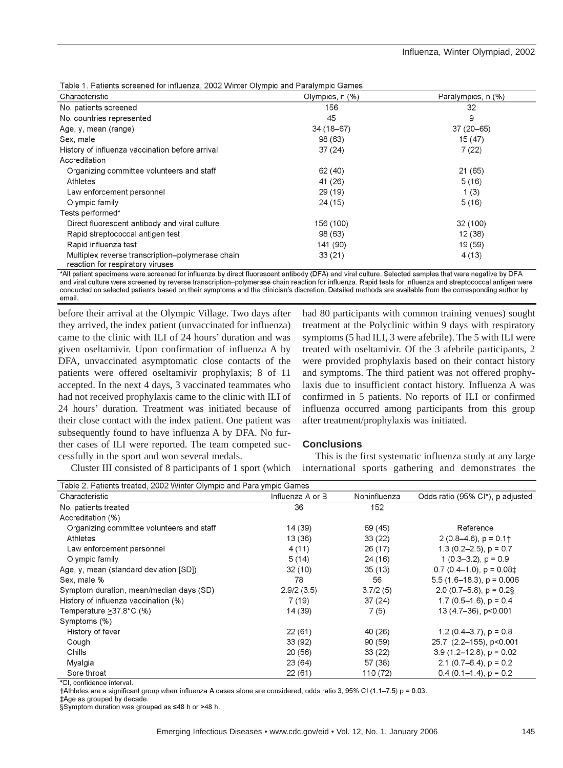|  | Table 1. Patients screened for influenza, 2002 Winter Olympic and Paralympic Games |
|--|------------------------------------------------------------------------------------|
|  |                                                                                    |

| Characteristic                                                                       | Olympics, $n$ $(\%)$ | Paralympics, n (%) |
|--------------------------------------------------------------------------------------|----------------------|--------------------|
| No. patients screened                                                                | 156                  | 32                 |
| No. countries represented                                                            | 45                   | 9                  |
| Age, y, mean (range)                                                                 | $34(18-67)$          | $37(20 - 65)$      |
| Sex, male                                                                            | 98 (63)              | 15(47)             |
| History of influenza vaccination before arrival                                      | 37(24)               | 7(22)              |
| Accreditation                                                                        |                      |                    |
| Organizing committee volunteers and staff                                            | 62 (40)              | 21 (65)            |
| Athletes                                                                             | 41 (26)              | 5(16)              |
| Law enforcement personnel                                                            | 29 (19)              | 1(3)               |
| Olympic family                                                                       | 24 (15)              | 5(16)              |
| Tests performed*                                                                     |                      |                    |
| Direct fluorescent antibody and viral culture                                        | 156 (100)            | 32 (100)           |
| Rapid streptococcal antigen test                                                     | 98 (63)              | 12(38)             |
| Rapid influenza test                                                                 | 141 (90)             | 19 (59)            |
| Multiplex reverse transcription-polymerase chain<br>reaction for respiratory viruses | 33(21)               | 4(13)              |

\*All patient specimens were screened for influenza by direct fluorescent antibody (DFA) and viral culture. Selected samples that were negative by DFA and viral culture were screened by reverse transcription–polymerase chain reaction for influenza. Rapid tests for influenza and streptococcal antigen were conducted on selected patients based on their symptoms and the clinician's discretion. Detailed methods are available from the corresponding author by email.

before their arrival at the Olympic Village. Two days after they arrived, the index patient (unvaccinated for influenza) came to the clinic with ILI of 24 hours' duration and was given oseltamivir. Upon confirmation of influenza A by DFA, unvaccinated asymptomatic close contacts of the patients were offered oseltamivir prophylaxis; 8 of 11 accepted. In the next 4 days, 3 vaccinated teammates who had not received prophylaxis came to the clinic with ILI of 24 hours' duration. Treatment was initiated because of their close contact with the index patient. One patient was subsequently found to have influenza A by DFA. No further cases of ILI were reported. The team competed successfully in the sport and won several medals.

Cluster III consisted of 8 participants of 1 sport (which

had 80 participants with common training venues) sought treatment at the Polyclinic within 9 days with respiratory symptoms (5 had ILI, 3 were afebrile). The 5 with ILI were treated with oseltamivir. Of the 3 afebrile participants, 2 were provided prophylaxis based on their contact history and symptoms. The third patient was not offered prophylaxis due to insufficient contact history. Influenza A was confirmed in 5 patients. No reports of ILI or confirmed influenza occurred among participants from this group after treatment/prophylaxis was initiated.

## **Conclusions**

This is the first systematic influenza study at any large international sports gathering and demonstrates the

| Table 2. Patients treated, 2002 Winter Olympic and Paralympic Games |                  |              |                                       |  |  |  |
|---------------------------------------------------------------------|------------------|--------------|---------------------------------------|--|--|--|
| Characteristic                                                      | Influenza A or B | Noninfluenza | Odds ratio (95% CI*), p adjusted      |  |  |  |
| No. patients treated                                                | 36               | 152          |                                       |  |  |  |
| Accreditation (%)                                                   |                  |              |                                       |  |  |  |
| Organizing committee volunteers and staff                           | 14 (39)          | 69 (45)      | Reference                             |  |  |  |
| Athletes                                                            | 13 (36)          | 33(22)       | $2(0.8-4.6)$ , $p = 0.1$ <sup>+</sup> |  |  |  |
| Law enforcement personnel                                           | 4(11)            | 26(17)       | 1.3 $(0.2 - 2.5)$ , $p = 0.7$         |  |  |  |
| Olympic family                                                      | 5(14)            | 24(16)       | 1 $(0.3-3.2)$ , $p = 0.9$             |  |  |  |
| Age, y, mean (standard deviation [SD])                              | 32(10)           | 35(13)       | $0.7$ (0.4-1.0), $p = 0.08$ ‡         |  |  |  |
| Sex, male %                                                         | 78               | 56           | 5.5 (1.6–18.3), $p = 0.006$           |  |  |  |
| Symptom duration, mean/median days (SD)                             | 2.9/2(3.5)       | 3.7/2(5)     | 2.0 $(0.7-5.8)$ , $p = 0.2$ §         |  |  |  |
| History of influenza vaccination (%)                                | 7 (19)           | 37(24)       | 1.7 $(0.5-1.6)$ , $p = 0.4$           |  |  |  |
| Temperature >37.8°C (%)                                             | 14 (39)          | 7(5)         | 13 (4.7-36), p<0.001                  |  |  |  |
| Symptoms (%)                                                        |                  |              |                                       |  |  |  |
| History of fever                                                    | 22(61)           | 40 (26)      | 1.2 $(0.4-3.7)$ , $p = 0.8$           |  |  |  |
| Cough                                                               | 33(92)           | 90(59)       | 25.7 (2.2-155), p<0.001               |  |  |  |
| Chills                                                              | 20 (56)          | 33(22)       | $3.9(1.2 - 12.8), p = 0.02$           |  |  |  |
| Myalgia                                                             | 23 (64)          | 57 (38)      | 2.1 (0.7–6.4), $p = 0.2$              |  |  |  |
| Sore throat                                                         | 22(61)           | 110 (72)     | $0.4$ (0.1–1.4), $p = 0.2$            |  |  |  |

\*CI, confidence interval.

†Athletes are a significant group when influenza A cases alone are considered, odds ratio 3, 95% CI (1.1-7.5) p = 0.03.

‡Age as grouped by decade.

§Symptom duration was grouped as ≤48 h or >48 h.